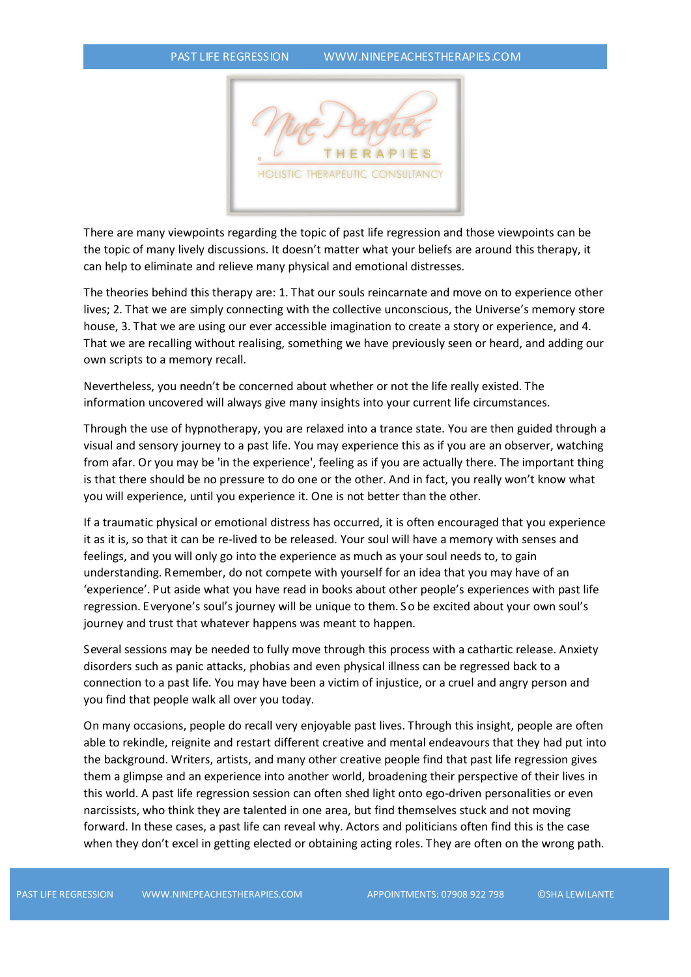

There are many viewpoints regarding the topic of past life regression and those viewpoints can be the topic of many lively discussions. It doesn't matter what your beliefs are around this therapy, it can help to eliminate and relieve many physical and emotional distresses.

The theories behind this therapy are: 1. That our souls reincarnate and move on to experience other lives; 2. That we are simply connecting with the collective unconscious, the Universe's memory store house, 3. That we are using our ever accessible imagination to create a story or experience, and 4. That we are recalling without realising, something we have previously seen or heard, and adding our own scripts to a memory recall.

Nevertheless, you needn't be concerned about whether or not the life really existed. The information uncovered will always give many insights into your current life circumstances.

Through the use of hypnotherapy, you are relaxed into a trance state. You are then guided through a visual and sensory journey to a past life. You may experience this as if you are an observer, watching from afar. Or you may be 'in the experience', feeling as if you are actually there. The important thing is that there should be no pressure to do one or the other. And in fact, you really won't know what you will experience, until you experience it. One is not better than the other.

If a traumatic physical or emotional distress has occurred, it is often encouraged that you experience it as it is, so that it can be re-lived to be released. Your soul will have a memory with senses and feelings, and you will only go into the experience as much as your soul needs to, to gain understanding. Remember, do not compete with yourself for an idea that you may have of an 'experience'. Put aside what you have read in books about other people's experiences with past life regression. Everyone's soul's journey will be unique to them. S o be excited about your own soul's journey and trust that whatever happens was meant to happen.

Several sessions may be needed to fully move through this process with a cathartic release. Anxiety disorders such as panic attacks, phobias and even physical illness can be regressed back to a connection to a past life. You may have been a victim of injustice, or a cruel and angry person and you find that people walk all over you today.

On many occasions, people do recall very enjoyable past lives. Through this insight, people are often able to rekindle, reignite and restart different creative and mental endeavours that they had put into the background. Writers, artists, and many other creative people find that past life regression gives them a glimpse and an experience into another world, broadening their perspective of their lives in this world. A past life regression session can often shed light onto ego-driven personalities or even narcissists, who think they are talented in one area, but find themselves stuck and not moving forward. In these cases, a past life can reveal why. Actors and politicians often find this is the case when they don't excel in getting elected or obtaining acting roles. They are often on the wrong path.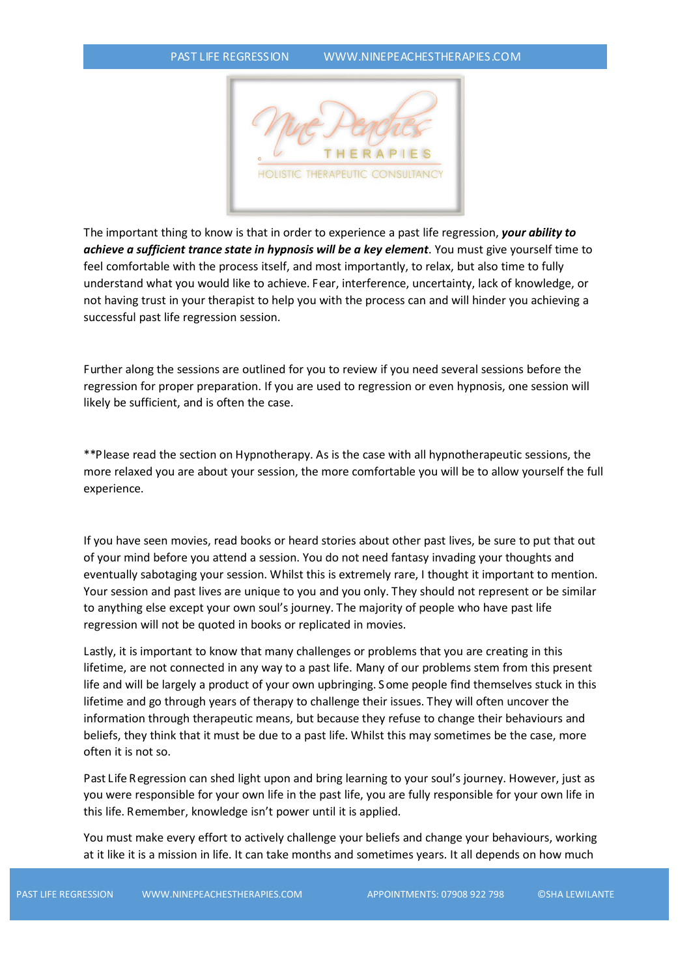

The important thing to know is that in order to experience a past life regression, *your ability to achieve a sufficient trance state in hypnosis will be a key element*. You must give yourself time to feel comfortable with the process itself, and most importantly, to relax, but also time to fully understand what you would like to achieve. Fear, interference, uncertainty, lack of knowledge, or not having trust in your therapist to help you with the process can and will hinder you achieving a successful past life regression session.

Further along the sessions are outlined for you to review if you need several sessions before the regression for proper preparation. If you are used to regression or even hypnosis, one session will likely be sufficient, and is often the case.

\*\*Please read the section on Hypnotherapy. As is the case with all hypnotherapeutic sessions, the more relaxed you are about your session, the more comfortable you will be to allow yourself the full experience.

If you have seen movies, read books or heard stories about other past lives, be sure to put that out of your mind before you attend a session. You do not need fantasy invading your thoughts and eventually sabotaging your session. Whilst this is extremely rare, I thought it important to mention. Your session and past lives are unique to you and you only. They should not represent or be similar to anything else except your own soul's journey. The majority of people who have past life regression will not be quoted in books or replicated in movies.

Lastly, it is important to know that many challenges or problems that you are creating in this lifetime, are not connected in any way to a past life. Many of our problems stem from this present life and will be largely a product of your own upbringing. S ome people find themselves stuck in this lifetime and go through years of therapy to challenge their issues. They will often uncover the information through therapeutic means, but because they refuse to change their behaviours and beliefs, they think that it must be due to a past life. Whilst this may sometimes be the case, more often it is not so.

Past Life Regression can shed light upon and bring learning to your soul's journey. However, just as you were responsible for your own life in the past life, you are fully responsible for your own life in this life. Remember, knowledge isn't power until it is applied.

You must make every effort to actively challenge your beliefs and change your behaviours, working at it like it is a mission in life. It can take months and sometimes years. It all depends on how much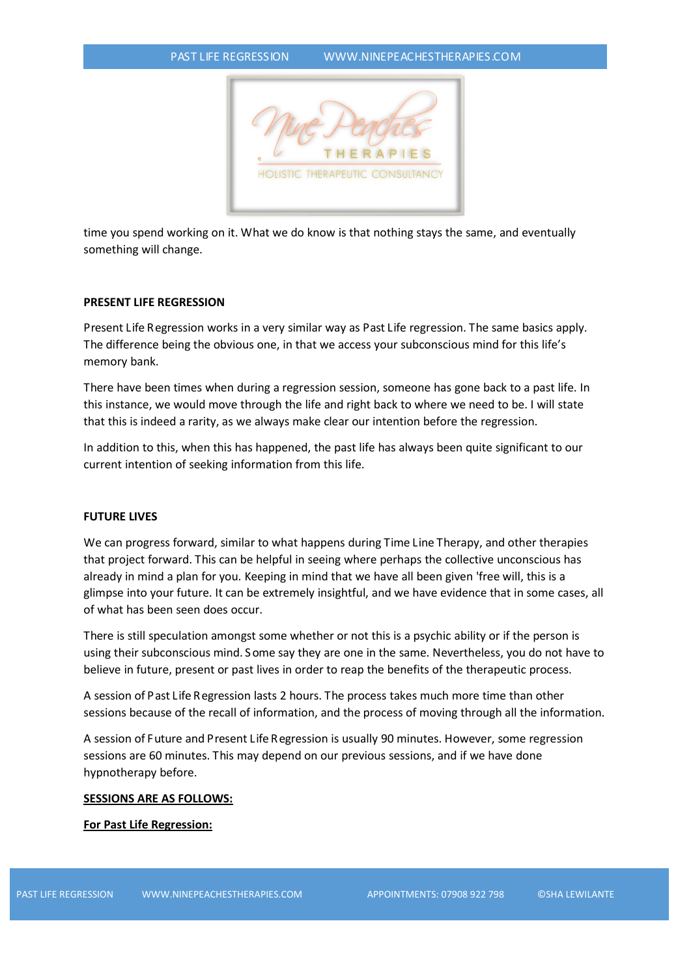

time you spend working on it. What we do know is that nothing stays the same, and eventually something will change.

# **PRESENT LIFE REGRESSION**

Present Life Regression works in a very similar way as Past Life regression. The same basics apply. The difference being the obvious one, in that we access your subconscious mind for this life's memory bank.

There have been times when during a regression session, someone has gone back to a past life. In this instance, we would move through the life and right back to where we need to be. I will state that this is indeed a rarity, as we always make clear our intention before the regression.

In addition to this, when this has happened, the past life has always been quite significant to our current intention of seeking information from this life.

## **FUTURE LIVES**

We can progress forward, similar to what happens during Time Line Therapy, and other therapies that project forward. This can be helpful in seeing where perhaps the collective unconscious has already in mind a plan for you. Keeping in mind that we have all been given 'free will, this is a glimpse into your future. It can be extremely insightful, and we have evidence that in some cases, all of what has been seen does occur.

There is still speculation amongst some whether or not this is a psychic ability or if the person is using their subconscious mind. S ome say they are one in the same. Nevertheless, you do not have to believe in future, present or past lives in order to reap the benefits of the therapeutic process.

A session of Past Life Regression lasts 2 hours. The process takes much more time than other sessions because of the recall of information, and the process of moving through all the information.

A session of Future and Present Life Regression is usually 90 minutes. However, some regression sessions are 60 minutes. This may depend on our previous sessions, and if we have done hypnotherapy before.

### **SESSIONS ARE AS FOLLOWS:**

### **For Past Life Regression:**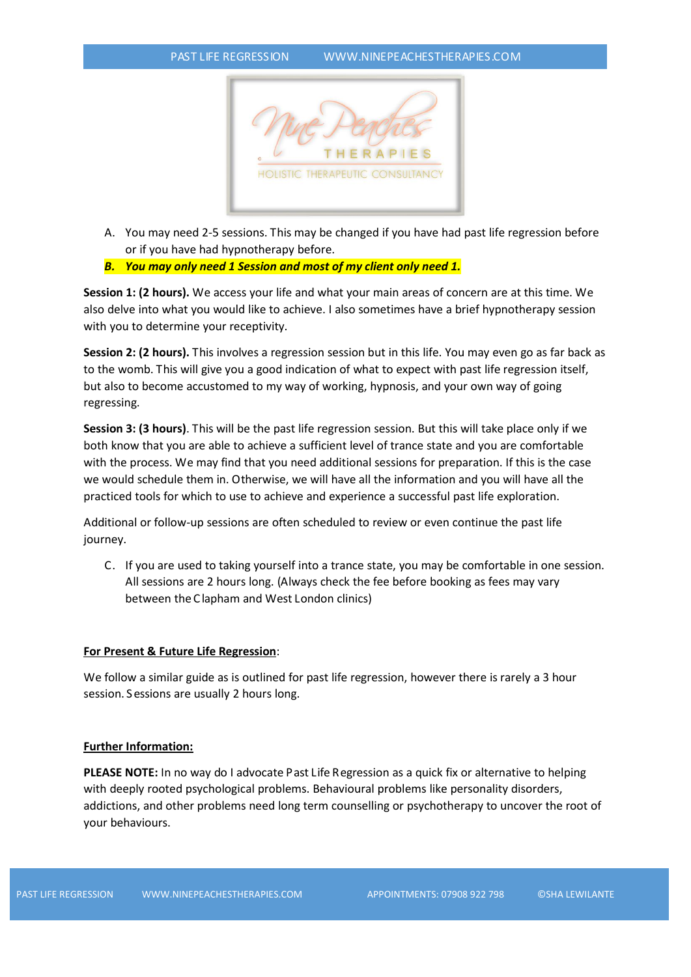

- A. You may need 2-5 sessions. This may be changed if you have had past life regression before or if you have had hypnotherapy before.
- *B. You may only need 1 Session and most of my client only need 1.*

**Session 1: (2 hours).** We access your life and what your main areas of concern are at this time. We also delve into what you would like to achieve. I also sometimes have a brief hypnotherapy session with you to determine your receptivity.

**Session 2: (2 hours).** This involves a regression session but in this life. You may even go as far back as to the womb. This will give you a good indication of what to expect with past life regression itself, but also to become accustomed to my way of working, hypnosis, and your own way of going regressing.

**Session 3: (3 hours)**. This will be the past life regression session. But this will take place only if we both know that you are able to achieve a sufficient level of trance state and you are comfortable with the process. We may find that you need additional sessions for preparation. If this is the case we would schedule them in. Otherwise, we will have all the information and you will have all the practiced tools for which to use to achieve and experience a successful past life exploration.

Additional or follow-up sessions are often scheduled to review or even continue the past life journey.

C. If you are used to taking yourself into a trance state, you may be comfortable in one session. All sessions are 2 hours long. (Always check the fee before booking as fees may vary between the C lapham and West London clinics)

# **For Present & Future Life Regression**:

We follow a similar guide as is outlined for past life regression, however there is rarely a 3 hour session. S essions are usually 2 hours long.

### **Further Information:**

**PLEASE NOTE:** In no way do I advocate Past Life Regression as a quick fix or alternative to helping with deeply rooted psychological problems. Behavioural problems like personality disorders, addictions, and other problems need long term counselling or psychotherapy to uncover the root of your behaviours.